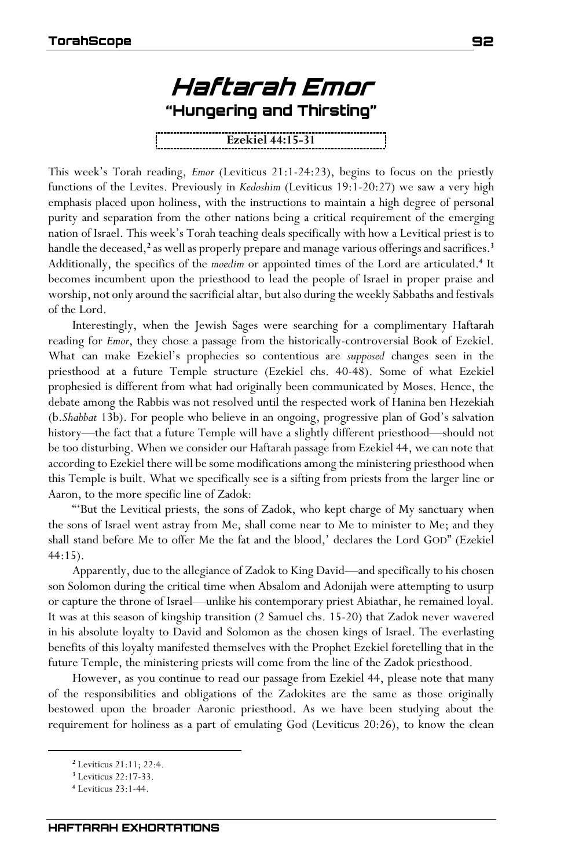

This week's Torah reading, *Emor* (Leviticus 21:1-24:23), begins to focus on the priestly functions of the Levites. Previously in *Kedoshim* (Leviticus 19:1-20:27) we saw a very high emphasis placed upon holiness, with the instructions to maintain a high degree of personal purity and separation from the other nations being a critical requirement of the emerging nation of Israel. This week's Torah teaching deals specifically with how a Levitical priest is to handle the deceased,<sup>2</sup> as well as properly prepare and manage various offerings and sacrifices.<sup>3</sup> Additionally, the specifics of the *moedim* or appointed times of the Lord are articulated.**<sup>4</sup>** It becomes incumbent upon the priesthood to lead the people of Israel in proper praise and worship, not only around the sacrificial altar, but also during the weekly Sabbaths and festivals of the Lord.

Interestingly, when the Jewish Sages were searching for a complimentary Haftarah reading for *Emor*, they chose a passage from the historically-controversial Book of Ezekiel. What can make Ezekiel's prophecies so contentious are *supposed* changes seen in the priesthood at a future Temple structure (Ezekiel chs. 40-48). Some of what Ezekiel prophesied is different from what had originally been communicated by Moses. Hence, the debate among the Rabbis was not resolved until the respected work of Hanina ben Hezekiah (b.*Shabbat* 13b). For people who believe in an ongoing, progressive plan of God's salvation history—the fact that a future Temple will have a slightly different priesthood—should not be too disturbing. When we consider our Haftarah passage from Ezekiel 44, we can note that according to Ezekiel there will be some modifications among the ministering priesthood when this Temple is built. What we specifically see is a sifting from priests from the larger line or Aaron, to the more specific line of Zadok:

"'But the Levitical priests, the sons of Zadok, who kept charge of My sanctuary when the sons of Israel went astray from Me, shall come near to Me to minister to Me; and they shall stand before Me to offer Me the fat and the blood,' declares the Lord GOD" (Ezekiel 44:15).

Apparently, due to the allegiance of Zadok to King David—and specifically to his chosen son Solomon during the critical time when Absalom and Adonijah were attempting to usurp or capture the throne of Israel—unlike his contemporary priest Abiathar, he remained loyal. It was at this season of kingship transition (2 Samuel chs. 15-20) that Zadok never wavered in his absolute loyalty to David and Solomon as the chosen kings of Israel. The everlasting benefits of this loyalty manifested themselves with the Prophet Ezekiel foretelling that in the future Temple, the ministering priests will come from the line of the Zadok priesthood.

However, as you continue to read our passage from Ezekiel 44, please note that many of the responsibilities and obligations of the Zadokites are the same as those originally bestowed upon the broader Aaronic priesthood. As we have been studying about the requirement for holiness as a part of emulating God (Leviticus 20:26), to know the clean

**<sup>2</sup>** Leviticus 21:11; 22:4.

**<sup>3</sup>** Leviticus 22:17-33.

**<sup>4</sup>** Leviticus 23:1-44.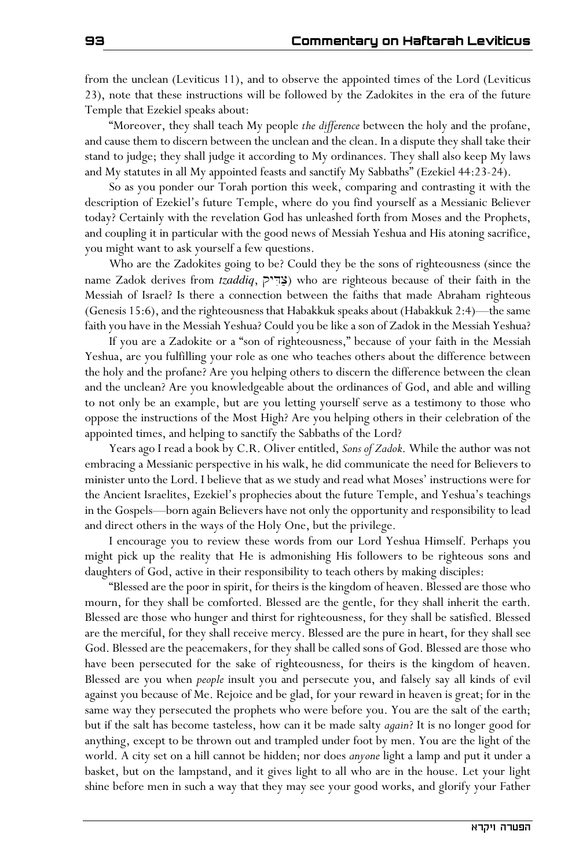from the unclean (Leviticus 11), and to observe the appointed times of the Lord (Leviticus 23), note that these instructions will be followed by the Zadokites in the era of the future Temple that Ezekiel speaks about:

"Moreover, they shall teach My people *the difference* between the holy and the profane, and cause them to discern between the unclean and the clean. In a dispute they shall take their stand to judge; they shall judge it according to My ordinances. They shall also keep My laws and My statutes in all My appointed feasts and sanctify My Sabbaths" (Ezekiel 44:23-24).

So as you ponder our Torah portion this week, comparing and contrasting it with the description of Ezekiel's future Temple, where do you find yourself as a Messianic Believer today? Certainly with the revelation God has unleashed forth from Moses and the Prophets, and coupling it in particular with the good news of Messiah Yeshua and His atoning sacrifice, you might want to ask yourself a few questions.

Who are the Zadokites going to be? Could they be the sons of righteousness (since the name Zadok derives from *tzaddiq*, צְדִיק) who are righteous because of their faith in the Messiah of Israel? Is there a connection between the faiths that made Abraham righteous (Genesis 15:6), and the righteousness that Habakkuk speaks about (Habakkuk 2:4)—the same faith you have in the Messiah Yeshua? Could you be like a son of Zadok in the Messiah Yeshua?

If you are a Zadokite or a "son of righteousness," because of your faith in the Messiah Yeshua, are you fulfilling your role as one who teaches others about the difference between the holy and the profane? Are you helping others to discern the difference between the clean and the unclean? Are you knowledgeable about the ordinances of God, and able and willing to not only be an example, but are you letting yourself serve as a testimony to those who oppose the instructions of the Most High? Are you helping others in their celebration of the appointed times, and helping to sanctify the Sabbaths of the Lord?

Years ago I read a book by C.R. Oliver entitled, *Sons of Zadok*. While the author was not embracing a Messianic perspective in his walk, he did communicate the need for Believers to minister unto the Lord. I believe that as we study and read what Moses' instructions were for the Ancient Israelites, Ezekiel's prophecies about the future Temple, and Yeshua's teachings in the Gospels—born again Believers have not only the opportunity and responsibility to lead and direct others in the ways of the Holy One, but the privilege.

I encourage you to review these words from our Lord Yeshua Himself. Perhaps you might pick up the reality that He is admonishing His followers to be righteous sons and daughters of God, active in their responsibility to teach others by making disciples:

"Blessed are the poor in spirit, for theirs is the kingdom of heaven. Blessed are those who mourn, for they shall be comforted. Blessed are the gentle, for they shall inherit the earth. Blessed are those who hunger and thirst for righteousness, for they shall be satisfied. Blessed are the merciful, for they shall receive mercy. Blessed are the pure in heart, for they shall see God. Blessed are the peacemakers, for they shall be called sons of God. Blessed are those who have been persecuted for the sake of righteousness, for theirs is the kingdom of heaven. Blessed are you when *people* insult you and persecute you, and falsely say all kinds of evil against you because of Me. Rejoice and be glad, for your reward in heaven is great; for in the same way they persecuted the prophets who were before you. You are the salt of the earth; but if the salt has become tasteless, how can it be made salty *again*? It is no longer good for anything, except to be thrown out and trampled under foot by men. You are the light of the world. A city set on a hill cannot be hidden; nor does *anyone* light a lamp and put it under a basket, but on the lampstand, and it gives light to all who are in the house. Let your light shine before men in such a way that they may see your good works, and glorify your Father